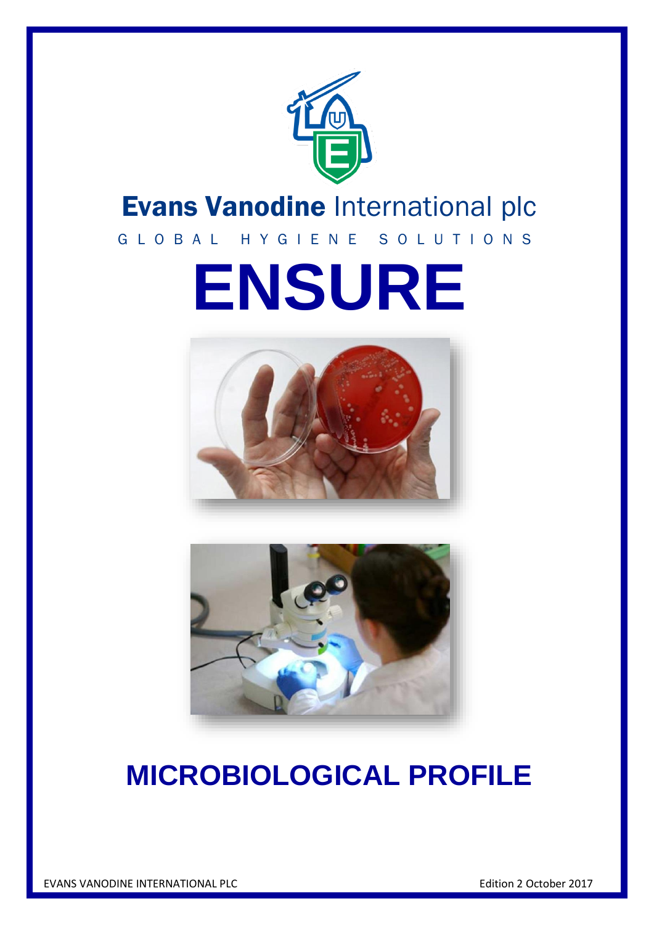

# Evans Vanodine International plc

# G L O B A L H Y G I E N E S O L U T I O N S

# **ENSURE**





# **MICROBIOLOGICAL PROFILE**

EVANS VANODINE INTERNATIONAL PLC **EXAMPLE 1999** Edition 2 October 2017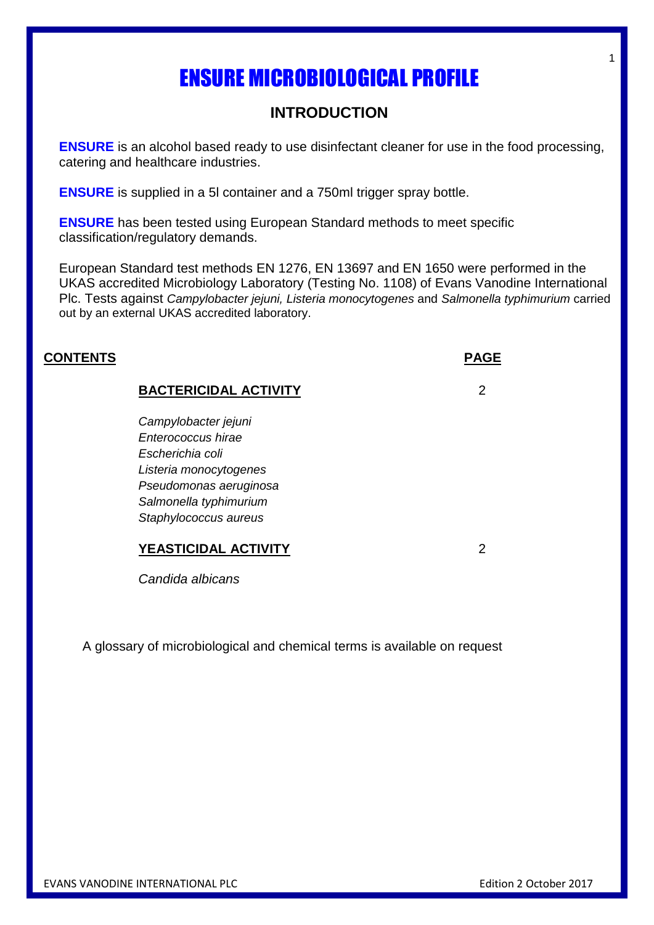# **INTRODUCTION**

**ENSURE** is an alcohol based ready to use disinfectant cleaner for use in the food processing, catering and healthcare industries.

**ENSURE** is supplied in a 5l container and a 750ml trigger spray bottle.

**ENSURE** has been tested using European Standard methods to meet specific classification/regulatory demands.

European Standard test methods EN 1276, EN 13697 and EN 1650 were performed in the UKAS accredited Microbiology Laboratory (Testing No. 1108) of Evans Vanodine International Plc. Tests against *Campylobacter jejuni, Listeria monocytogenes* and *Salmonella typhimurium* carried out by an external UKAS accredited laboratory.

#### **CONTENTS PAGE**

#### **BACTERICIDAL ACTIVITY** 2

*Campylobacter jejuni Enterococcus hirae Escherichia coli Listeria monocytogenes Pseudomonas aeruginosa Salmonella typhimurium Staphylococcus aureus*

### **YEASTICIDAL ACTIVITY** 2

*Candida albicans*

A glossary of microbiological and chemical terms is available on request

1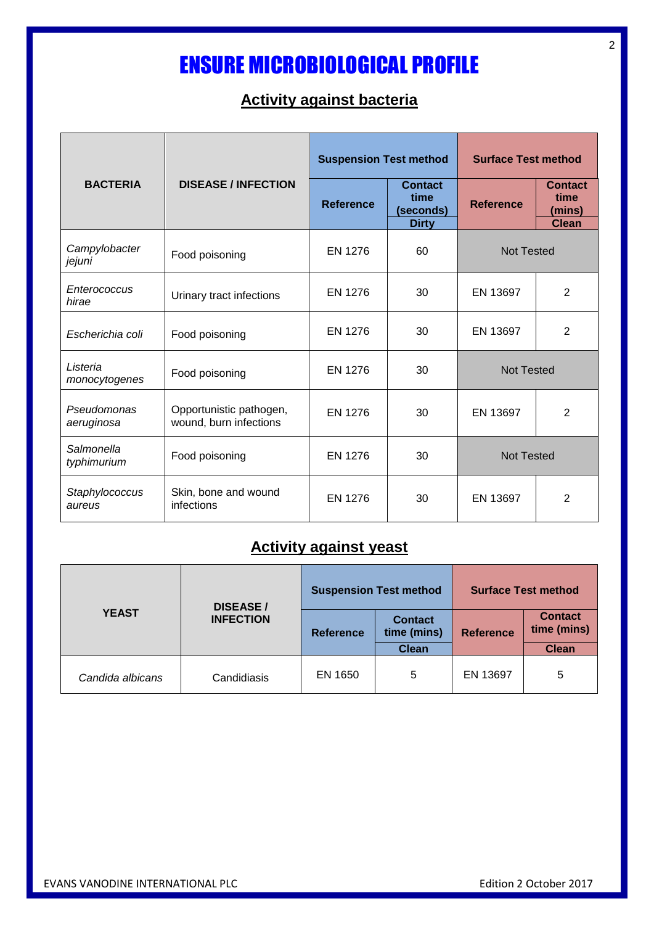# **Activity against bacteria**

|                           |                                                   | <b>Suspension Test method</b> |                                                     | <b>Surface Test method</b> |                                                  |
|---------------------------|---------------------------------------------------|-------------------------------|-----------------------------------------------------|----------------------------|--------------------------------------------------|
| <b>BACTERIA</b>           | <b>DISEASE / INFECTION</b>                        | <b>Reference</b>              | <b>Contact</b><br>time<br>(seconds)<br><b>Dirty</b> | <b>Reference</b>           | <b>Contact</b><br>time<br>(mins)<br><b>Clean</b> |
| Campylobacter<br>jejuni   | Food poisoning                                    | EN 1276                       | 60                                                  | <b>Not Tested</b>          |                                                  |
| Enterococcus<br>hirae     | Urinary tract infections                          | <b>EN 1276</b>                | 30                                                  | EN 13697                   | $\overline{2}$                                   |
| Escherichia coli          | Food poisoning                                    | <b>EN 1276</b>                | 30                                                  | EN 13697                   | $\overline{2}$                                   |
| Listeria<br>monocytogenes | Food poisoning                                    | <b>EN 1276</b>                | 30                                                  | <b>Not Tested</b>          |                                                  |
| Pseudomonas<br>aeruginosa | Opportunistic pathogen,<br>wound, burn infections | EN 1276                       | 30                                                  | EN 13697                   | $\overline{2}$                                   |
| Salmonella<br>typhimurium | Food poisoning                                    | <b>EN 1276</b>                | 30                                                  | <b>Not Tested</b>          |                                                  |
| Staphylococcus<br>aureus  | Skin, bone and wound<br>infections                | EN 1276                       | 30                                                  | EN 13697                   | $\overline{2}$                                   |

# **Activity against yeast**

|                  | <b>DISEASE/</b><br><b>INFECTION</b> | <b>Suspension Test method</b> |                               | <b>Surface Test method</b> |                               |
|------------------|-------------------------------------|-------------------------------|-------------------------------|----------------------------|-------------------------------|
| <b>YEAST</b>     |                                     | <b>Reference</b>              | <b>Contact</b><br>time (mins) | <b>Reference</b>           | <b>Contact</b><br>time (mins) |
|                  |                                     |                               | <b>Clean</b>                  |                            | <b>Clean</b>                  |
| Candida albicans | Candidiasis                         | EN 1650                       | 5                             | EN 13697                   | 5                             |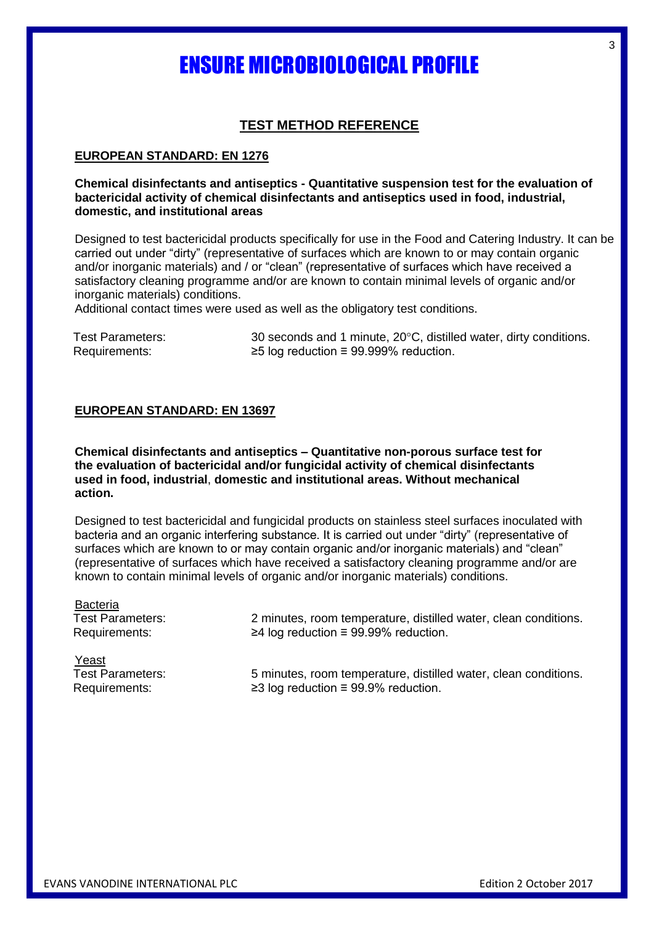## **TEST METHOD REFERENCE**

#### **EUROPEAN STANDARD: EN 1276**

#### **Chemical disinfectants and antiseptics - Quantitative suspension test for the evaluation of bactericidal activity of chemical disinfectants and antiseptics used in food, industrial, domestic, and institutional areas**

Designed to test bactericidal products specifically for use in the Food and Catering Industry. It can be carried out under "dirty" (representative of surfaces which are known to or may contain organic and/or inorganic materials) and / or "clean" (representative of surfaces which have received a satisfactory cleaning programme and/or are known to contain minimal levels of organic and/or inorganic materials) conditions.

Additional contact times were used as well as the obligatory test conditions.

Test Parameters: 30 seconds and 1 minute, 20°C, distilled water, dirty conditions. Requirements: ≥5 log reduction ≡ 99.999% reduction.

#### **EUROPEAN STANDARD: EN 13697**

**Chemical disinfectants and antiseptics – Quantitative non-porous surface test for the evaluation of bactericidal and/or fungicidal activity of chemical disinfectants used in food, industrial**, **domestic and institutional areas. Without mechanical action.**

Designed to test bactericidal and fungicidal products on stainless steel surfaces inoculated with bacteria and an organic interfering substance. It is carried out under "dirty" (representative of surfaces which are known to or may contain organic and/or inorganic materials) and "clean" (representative of surfaces which have received a satisfactory cleaning programme and/or are known to contain minimal levels of organic and/or inorganic materials) conditions.

Bacteria

Test Parameters: 2 minutes, room temperature, distilled water, clean conditions. Requirements: ≥4 log reduction ≡ 99.99% reduction.

Yeast

Test Parameters: 5 minutes, room temperature, distilled water, clean conditions. Requirements: ≥3 log reduction ≡ 99.9% reduction.